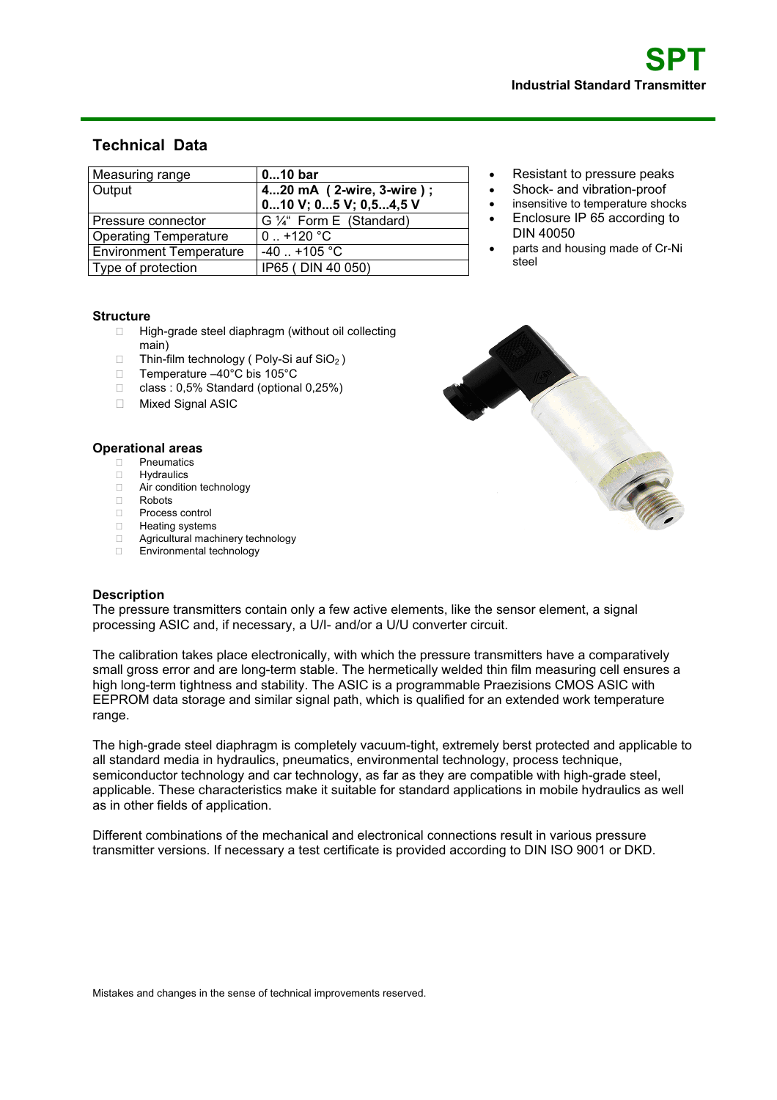# **Technical Data**

| Measuring range                | $010$ bar                   |
|--------------------------------|-----------------------------|
| Output                         | 420 mA (2-wire, 3-wire);    |
|                                | $010$ V; $05$ V; $0.54.5$ V |
| Pressure connector             | G 1/4" Form E (Standard)    |
| <b>Operating Temperature</b>   | $0.1 + 120$ °C              |
| <b>Environment Temperature</b> | $-40$ $+105$ °C             |
| Type of protection             | IP65 (DIN 40 050)           |

#### Resistant to pressure peaks Shock- and vibration-proof

- insensitive to temperature shocks
- Enclosure IP 65 according to DIN 40050
- parts and housing made of Cr-Ni steel

### **Structure**

- □ High-grade steel diaphragm (without oil collecting main)
- $\Box$  Thin-film technology ( Poly-Si auf SiO<sub>2</sub>)
- Temperature –40°C bis 105°C
- class : 0,5% Standard (optional 0,25%)
- □ Mixed Signal ASIC

### **Operational areas**

- **D** Pneumatics
- □ Hydraulics
- □ Air condition technology
- Robots
- Process control
- □ Heating systems
- **Example 2** Agricultural machinery technology
- Environmental technology



## **Description**

The pressure transmitters contain only a few active elements, like the sensor element, a signal processing ASIC and, if necessary, a U/I- and/or a U/U converter circuit.

The calibration takes place electronically, with which the pressure transmitters have a comparatively small gross error and are long-term stable. The hermetically welded thin film measuring cell ensures a high long-term tightness and stability. The ASIC is a programmable Praezisions CMOS ASIC with EEPROM data storage and similar signal path, which is qualified for an extended work temperature range.

The high-grade steel diaphragm is completely vacuum-tight, extremely berst protected and applicable to all standard media in hydraulics, pneumatics, environmental technology, process technique, semiconductor technology and car technology, as far as they are compatible with high-grade steel, applicable. These characteristics make it suitable for standard applications in mobile hydraulics as well as in other fields of application.

Different combinations of the mechanical and electronical connections result in various pressure transmitter versions. If necessary a test certificate is provided according to DIN ISO 9001 or DKD.